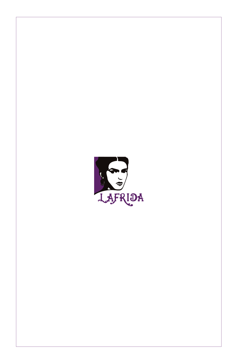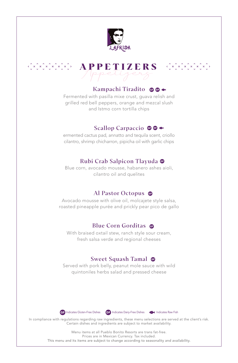



#### Kampachi Tiradito OO \*

Fermented with pasilla mixe crust, guava relish and grilled red bell peppers, orange and mezcal slush and Istmo corn tortilla chips

### Scallop Carpaccio **OO**

ermented cactus pad, annatto and tequila scent, criollo cilantro, shrimp chicharron, pipicha oil with garlic chips

### Rubi Crab Salpicon Tlayuda

Blue corn, avocado mousse, habanero ashes aioli, cilantro oil and quelites

### Al Pastor Octopus

Avocado mousse with olive oil, molcajete style salsa, roasted pineapple purée and prickly pear pico de gallo

# Blue Corn Gorditas

With braised oxtail stew, ranch style sour cream, fresh salsa verde and regional cheeses

### Sweet Squash Tamal

Served with pork belly, peanut mole sauce with wild quintoniles herbs salad and pressed cheese



In compliance with regulations regarding raw ingredients, these menu selections are served at the client's risk. Certain dishes and ingredients are subject to market availability.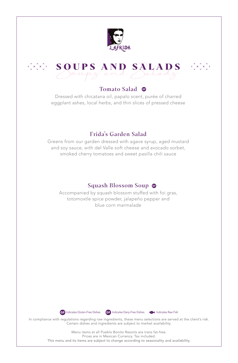



#### Tomato Salad <sup>o</sup>

Dressed with chicatana oil, papalo scent, purée of charred eggplant ashes, local herbs, and thin slices of pressed cheese

# Frida's Garden Salad

Greens from our garden dressed with agave syrup, aged mustard and soy sauce, with del Valle soft cheese and avocado sorbet, smoked cherry tomatoes and sweet pasilla chili sauce

# Squash Blossom Soup

Accompanied by squash blossom stuffed with foi gras, totomoxtle spice powder, jalapeño pepper and blue corn marmalade





In compliance with regulations regarding raw ingredients, these menu selections are served at the client's risk. Certain dishes and ingredients are subject to market availability.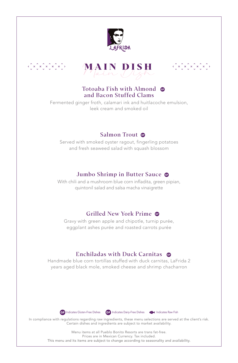





 $\langle \hat{C} \times \hat{C} \times \hat{C} \times \hat{C} \times \hat{C} \times \hat{C} \rangle$ 

### Totoaba Fish with Almond  $\bullet$ and Bacon Stuffed Clams

Fermented ginger froth, calamari ink and huitlacoche emulsion, leek cream and smoked oil

### Salmon Trout <sup>o</sup>

Served with smoked oyster ragout, fingerling potatoes and fresh seaweed salad with squash blossom

# Jumbo Shrimp in Butter Sauce <sup>o</sup>

With chili and a mushroom blue corn infladita, green pipian, quintonil salad and salsa macha vinaigrette

# Grilled New York Prime

Gravy with green apple and chipotle, turnip purée, eggplant ashes purée and roasted carrots purée

# Enchiladas with Duck Carnitas

Handmade blue corn tortillas stuffed with duck carnitas, LaFrida 2 years aged black mole, smoked cheese and shrimp chacharron





In compliance with regulations regarding raw ingredients, these menu selections are served at the client's risk. Certain dishes and ingredients are subject to market availability.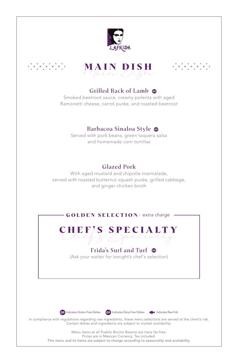





### Grilled Rack of Lamb

Smoked beetroot sauce, creamy polenta with aged Ramonetti cheese, carrot purée, and roasted beetroot

### Barbacoa Sinaloa Style

Served with pork beans, green taquera salsa and homemade corn tortillas

# Glazed Pork

With aged mustard and chipotle marmalade, served with roasted butternut squash purée, grilled cabbage, and ginger chicken broth



CHEF'S SPECIALTY

### Frida's Surf and Turf

(Ask your waiter for tonight's chef's selection)





In compliance with regulations regarding raw ingredients, these menu selections are served at the client's risk. Certain dishes and ingredients are subject to market availability.